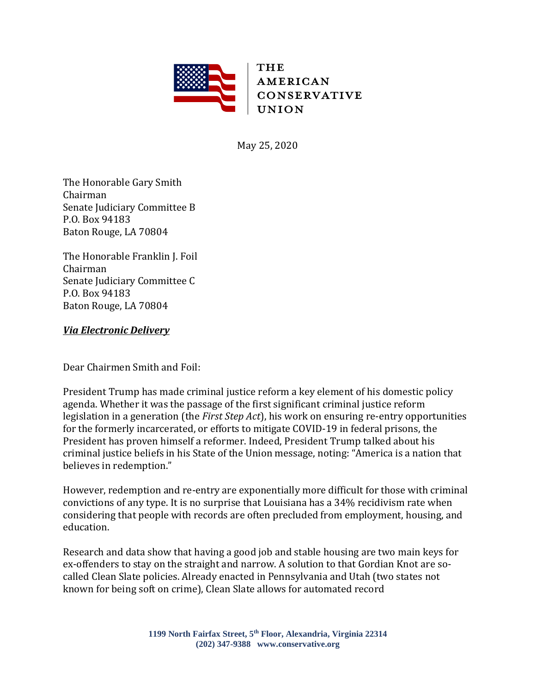

May 25, 2020

The Honorable Gary Smith Chairman Senate Judiciary Committee B P.O. Box 94183 Baton Rouge, LA 70804

The Honorable Franklin J. Foil Chairman Senate Judiciary Committee C P.O. Box 94183 Baton Rouge, LA 70804

## *Via Electronic Delivery*

Dear Chairmen Smith and Foil:

President Trump has made criminal justice reform a key element of his domestic policy agenda. Whether it was the passage of the first significant criminal justice reform legislation in a generation (the *First Step Act*), his work on ensuring re-entry opportunities for the formerly incarcerated, or efforts to mitigate COVID-19 in federal prisons, the President has proven himself a reformer. Indeed, President Trump talked about his criminal justice beliefs in his State of the Union message, noting: "America is a nation that believes in redemption."

However, redemption and re-entry are exponentially more difficult for those with criminal convictions of any type. It is no surprise that Louisiana has a 34% recidivism rate when considering that people with records are often precluded from employment, housing, and education.

Research and data show that having a good job and stable housing are two main keys for ex-offenders to stay on the straight and narrow. A solution to that Gordian Knot are socalled Clean Slate policies. Already enacted in Pennsylvania and Utah (two states not known for being soft on crime), Clean Slate allows for automated record